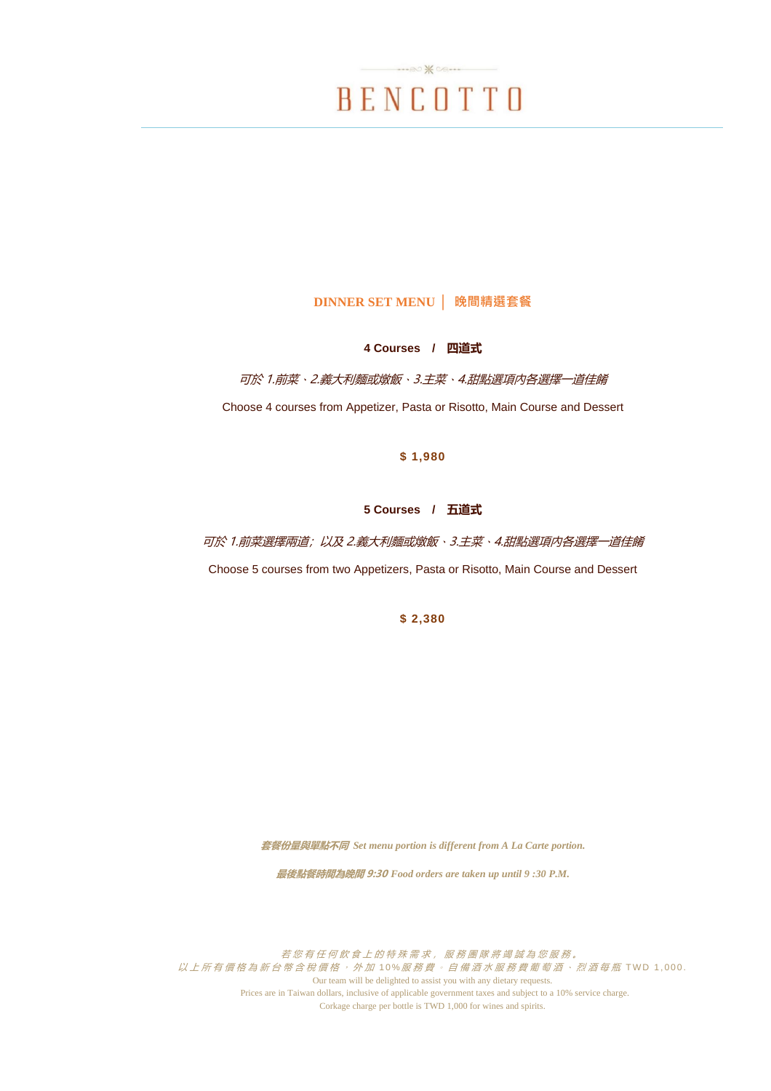

### **DINNER SET MENU │ 晚間精選套餐**

### **4 Courses / 四道式**

可於 1.前菜、2.義大利麵或燉飯、3.主菜、4.甜點選項內各選擇一道佳餚

Choose 4 courses from Appetizer, Pasta or Risotto, Main Course and Dessert

#### **\$ 1,980**

### **5 Courses / 五道式**

可於 1.前菜選擇兩道;以及 2.義大利麵或燉飯、3.主菜、4.甜點選項內各選擇一道佳餚 Choose 5 courses from two Appetizers, Pasta or Risotto, Main Course and Dessert

**\$ 2,380**

**套餐份量與單點不同** *Set menu portion is different from A La Carte portion.*

**最後點餐時間為晚間 9:30** *Food orders are taken up until 9 :30 P.M.*

若您有任何飲食上的特殊需求,服務團隊將竭誠為您服務。 以上所有價格為新台幣含稅價格, 外加10%服務費。自備酒水服務費葡萄酒、烈酒每瓶 TWD 1,000. Our team will be delighted to assist you with any dietary requests. Prices are in Taiwan dollars, inclusive of applicable government taxes and subject to a 10% service charge. Corkage charge per bottle is TWD 1,000 for wines and spirits.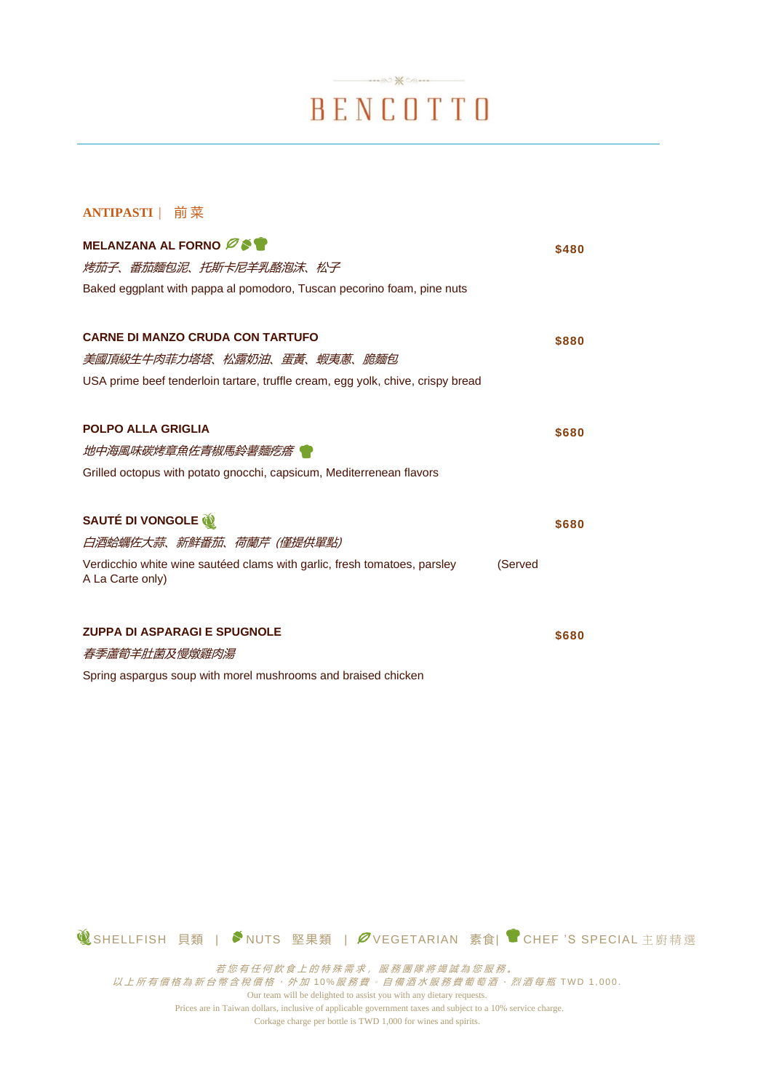# BENCOTTO

 $\cdots \otimes \mathcal{K} \otimes \cdots$ 

### **ANTIPASTI** | 前 菜

| MELANZANA AL FORNO ØST                                                          |         | \$480 |
|---------------------------------------------------------------------------------|---------|-------|
| <i>烤茄子、番茄麵包泥、托斯卡尼羊乳酪泡沫、松子</i>                                                   |         |       |
| Baked eggplant with pappa al pomodoro, Tuscan pecorino foam, pine nuts          |         |       |
|                                                                                 |         |       |
| <b>CARNE DI MANZO CRUDA CON TARTUFO</b>                                         |         | \$880 |
| 美國頂級生牛肉菲力塔塔、松露奶油、蛋黃、蝦夷蔥、脆麵包                                                     |         |       |
| USA prime beef tenderloin tartare, truffle cream, egg yolk, chive, crispy bread |         |       |
|                                                                                 |         |       |
| <b>POLPO ALLA GRIGLIA</b>                                                       |         | \$680 |
| 地中海風味碳烤章魚佐青椒馬鈴薯麵疙瘩 ♥                                                            |         |       |
| Grilled octopus with potato gnocchi, capsicum, Mediterrenean flavors            |         |       |
|                                                                                 |         |       |
| SAUTÉ DI VONGOLE                                                                |         | \$680 |
| 白酒蛤蠣佐大蒜、新鮮番茄、荷蘭芹 (僅提供單點)                                                        |         |       |
| Verdicchio white wine sautéed clams with garlic, fresh tomatoes, parsley        | (Served |       |
| A La Carte only)                                                                |         |       |
|                                                                                 |         |       |
| <b>ZUPPA DI ASPARAGI E SPUGNOLE</b>                                             |         | \$680 |
| 春季蘆筍羊肚菌及慢燉雞肉湯                                                                   |         |       |
| Spring aspargus soup with morel mushrooms and braised chicken                   |         |       |

**1 SHELLFISH 貝類 | ◆NUTS 堅果類 | タVEGETARIAN 素食| ● CHEF 'S SPECIAL 主廚精選** 

若您有任何飲食上的特殊需求,服務團隊將竭誠為您服務。 以上所有價格為新台幣含稅價格 , 外 加 10 %服務費 。 自備酒水服務費葡萄酒 、 烈酒每瓶 T W D 1 , 00 0 . Our team will be delighted to assist you with any dietary requests. Prices are in Taiwan dollars, inclusive of applicable government taxes and subject to a 10% service charge. Corkage charge per bottle is TWD 1,000 for wines and spirits.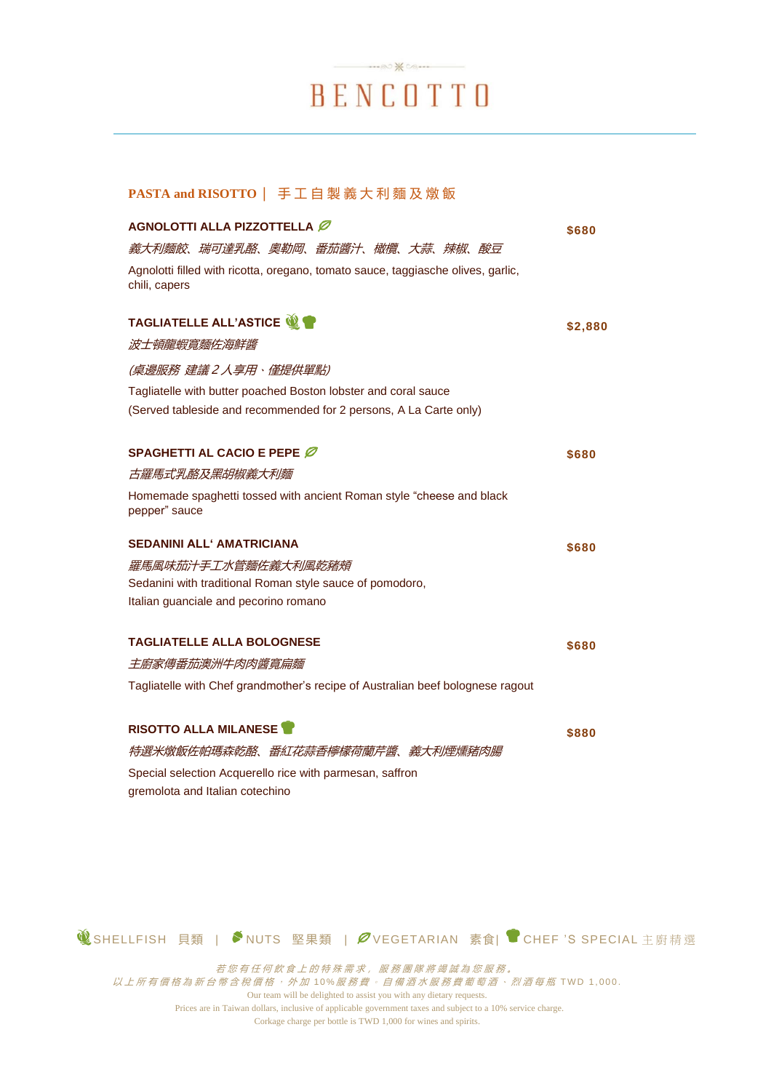## $\rightarrow\infty$ BENCOTTO

### **PASTA and RISOTTO** | 手 工 自 製 義大利麵及燉飯

| AGNOLOTTI ALLA PIZZOTTELLA Ø                                                                      | \$680   |
|---------------------------------------------------------------------------------------------------|---------|
| 義大利麵餃、瑞可達乳酪、奧勒岡、番茄醬汁、橄欖、大蒜、辣椒、酸豆                                                                  |         |
| Agnolotti filled with ricotta, oregano, tomato sauce, taggiasche olives, garlic,<br>chili, capers |         |
| <b>TAGLIATELLE ALL'ASTICE W</b>                                                                   | \$2,880 |
| 波士頓龍蝦寬麵佐海鮮醬                                                                                       |         |
| (桌邊服務 建議2人享用、僅提供單點)                                                                               |         |
| Tagliatelle with butter poached Boston lobster and coral sauce                                    |         |
| (Served tableside and recommended for 2 persons, A La Carte only)                                 |         |
| SPAGHETTI AL CACIO E PEPE Ø                                                                       | \$680   |
| 古羅馬式乳酪及黑胡椒義大利麵                                                                                    |         |
| Homemade spaghetti tossed with ancient Roman style "cheese and black<br>pepper" sauce             |         |
| <b>SEDANINI ALL' AMATRICIANA</b>                                                                  | \$680   |
| 羅馬風味茄汁手工水管麵佐義大利風乾豬頰                                                                               |         |
| Sedanini with traditional Roman style sauce of pomodoro,                                          |         |
| Italian guanciale and pecorino romano                                                             |         |
| <b>TAGLIATELLE ALLA BOLOGNESE</b>                                                                 | \$680   |
| 主廚家傳番茄澳洲牛肉肉醬寬扁麵                                                                                   |         |
| Tagliatelle with Chef grandmother's recipe of Australian beef bolognese ragout                    |         |
| <b>RISOTTO ALLA MILANESE</b>                                                                      | \$880   |
| 特選米燉飯佐帕瑪森乾酪、番紅花蒜香檸檬荷蘭芹醬、義大利煙燻豬肉腸                                                                  |         |
| Special selection Acquerello rice with parmesan, saffron                                          |         |
| gremolota and Italian cotechino                                                                   |         |
|                                                                                                   |         |

**1 SHELLFISH 貝類 | ◆NUTS 堅果類 | タVEGETARIAN 素食| ● CHEF 'S SPECIAL 主廚精選** 

若您有任何飲食上的特殊需求,服務團隊將竭誠為您服務。 以上所有價格為新台幣含稅價格 , 外 加 10 %服務費 。 自備酒水服務費葡萄酒 、 烈酒每瓶 T W D 1 , 00 0 . Our team will be delighted to assist you with any dietary requests. Prices are in Taiwan dollars, inclusive of applicable government taxes and subject to a 10% service charge. Corkage charge per bottle is TWD 1,000 for wines and spirits.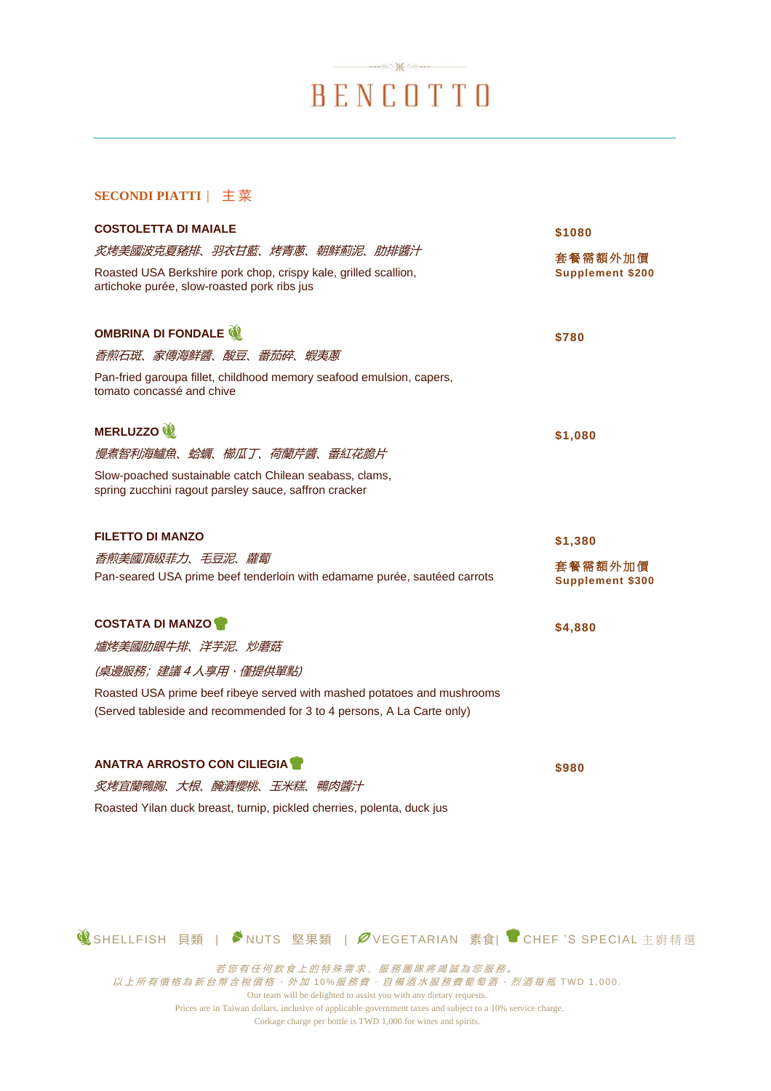# $\longrightarrow \infty$   $\mathcal{H}$   $\infty$ BENCOTTO

### **SECONDI PIATTI** | 主 菜

| <b>COSTOLETTA DI MAIALE</b>                                                                                                                                                                                                       | \$1080                                        |
|-----------------------------------------------------------------------------------------------------------------------------------------------------------------------------------------------------------------------------------|-----------------------------------------------|
| 炙烤美國波克夏豬排、羽衣甘藍、烤青蔥、朝鮮薊泥、肋排醬汁<br>Roasted USA Berkshire pork chop, crispy kale, grilled scallion,<br>artichoke purée, slow-roasted pork ribs jus                                                                                    | 套餐需額外加價<br><b>Supplement \$200</b>            |
| <b>OMBRINA DI FONDALE</b><br>香煎石斑、家傳海鮮醬、酸豆、番茄碎、蝦夷蔥<br>Pan-fried garoupa fillet, childhood memory seafood emulsion, capers,<br>tomato concassé and chive                                                                           | \$780                                         |
| MERLUZZO <sup>12</sup><br>慢煮智利海鱸魚、蛤蠣、櫛瓜丁、荷蘭芹醬、番紅花脆片<br>Slow-poached sustainable catch Chilean seabass, clams,<br>spring zucchini ragout parsley sauce, saffron cracker                                                            | \$1,080                                       |
| <b>FILETTO DI MANZO</b><br>香煎美國頂級菲力、毛豆泥、蘿蔔<br>Pan-seared USA prime beef tenderloin with edamame purée, sautéed carrots                                                                                                            | \$1,380<br>套餐需額外加價<br><b>Supplement \$300</b> |
| <b>COSTATA DI MANZO DI</b><br><i>爐烤美國肋眼牛排、洋芋泥、炒蘑菇</i><br>(桌邊服務;建議4人享用、僅提供單點)<br>Roasted USA prime beef ribeye served with mashed potatoes and mushrooms<br>(Served tableside and recommended for 3 to 4 persons, A La Carte only) | \$4,880                                       |
| <b>ANATRA ARROSTO CON CILIEGIA</b><br><i>炙烤宜蘭鴨胸、大根、醃漬櫻桃、玉米糕、鴨肉醬汁</i><br>Roasted Yilan duck breast, turnip, pickled cherries, polenta, duck jus                                                                                    | \$980                                         |

**1 3** SHELLFISH 貝類 | ◆NUTS 堅果類 | クVEGETARIAN 素食| ● CHEF 'S SPECIAL 主廚精選

若您有任何飲食上的特殊需求,服務團隊將竭誠為您服務。

以上所有價格為新台幣含稅價格 , 外 加 10 %服務費 。 自備酒水服務費葡萄酒 、 烈酒每瓶 T W D 1 , 00 0 .

Our team will be delighted to assist you with any dietary requests. Prices are in Taiwan dollars, inclusive of applicable government taxes and subject to a 10% service charge.

Corkage charge per bottle is TWD 1,000 for wines and spirits.